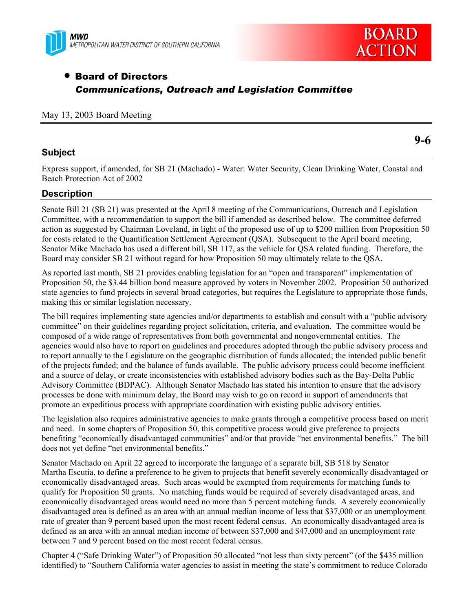



# • Board of Directors *Communications, Outreach and Legislation Committee*

## May 13, 2003 Board Meeting

# **Subject**

**9-6** 

Express support, if amended, for SB 21 (Machado) - Water: Water Security, Clean Drinking Water, Coastal and Beach Protection Act of 2002

# **Description**

Senate Bill 21 (SB 21) was presented at the April 8 meeting of the Communications, Outreach and Legislation Committee, with a recommendation to support the bill if amended as described below. The committee deferred action as suggested by Chairman Loveland, in light of the proposed use of up to \$200 million from Proposition 50 for costs related to the Quantification Settlement Agreement (QSA). Subsequent to the April board meeting, Senator Mike Machado has used a different bill, SB 117, as the vehicle for QSA related funding. Therefore, the Board may consider SB 21 without regard for how Proposition 50 may ultimately relate to the QSA.

As reported last month, SB 21 provides enabling legislation for an "open and transparent" implementation of Proposition 50, the \$3.44 billion bond measure approved by voters in November 2002. Proposition 50 authorized state agencies to fund projects in several broad categories, but requires the Legislature to appropriate those funds, making this or similar legislation necessary.

The bill requires implementing state agencies and/or departments to establish and consult with a "public advisory committee" on their guidelines regarding project solicitation, criteria, and evaluation. The committee would be composed of a wide range of representatives from both governmental and nongovernmental entities. The agencies would also have to report on guidelines and procedures adopted through the public advisory process and to report annually to the Legislature on the geographic distribution of funds allocated; the intended public benefit of the projects funded; and the balance of funds available. The public advisory process could become inefficient and a source of delay, or create inconsistencies with established advisory bodies such as the Bay-Delta Public Advisory Committee (BDPAC). Although Senator Machado has stated his intention to ensure that the advisory processes be done with minimum delay, the Board may wish to go on record in support of amendments that promote an expeditious process with appropriate coordination with existing public advisory entities.

The legislation also requires administrative agencies to make grants through a competitive process based on merit and need. In some chapters of Proposition 50, this competitive process would give preference to projects benefiting "economically disadvantaged communities" and/or that provide "net environmental benefits." The bill does not yet define "net environmental benefits."

Senator Machado on April 22 agreed to incorporate the language of a separate bill, SB 518 by Senator Martha Escutia, to define a preference to be given to projects that benefit severely economically disadvantaged or economically disadvantaged areas. Such areas would be exempted from requirements for matching funds to qualify for Proposition 50 grants. No matching funds would be required of severely disadvantaged areas, and economically disadvantaged areas would need no more than 5 percent matching funds. A severely economically disadvantaged area is defined as an area with an annual median income of less that \$37,000 or an unemployment rate of greater than 9 percent based upon the most recent federal census. An economically disadvantaged area is defined as an area with an annual median income of between \$37,000 and \$47,000 and an unemployment rate between 7 and 9 percent based on the most recent federal census.

Chapter 4 ("Safe Drinking Water") of Proposition 50 allocated "not less than sixty percent" (of the \$435 million identified) to "Southern California water agencies to assist in meeting the state's commitment to reduce Colorado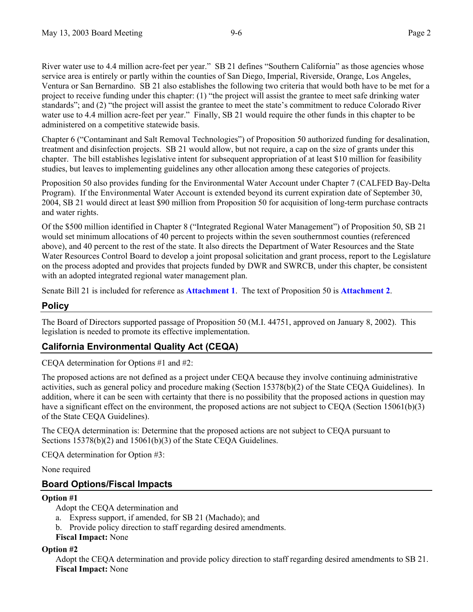River water use to 4.4 million acre-feet per year." SB 21 defines "Southern California" as those agencies whose service area is entirely or partly within the counties of San Diego, Imperial, Riverside, Orange, Los Angeles, Ventura or San Bernardino. SB 21 also establishes the following two criteria that would both have to be met for a project to receive funding under this chapter: (1) "the project will assist the grantee to meet safe drinking water standards"; and (2) "the project will assist the grantee to meet the state's commitment to reduce Colorado River water use to 4.4 million acre-feet per year." Finally, SB 21 would require the other funds in this chapter to be administered on a competitive statewide basis.

Chapter 6 ("Contaminant and Salt Removal Technologies") of Proposition 50 authorized funding for desalination, treatment and disinfection projects. SB 21 would allow, but not require, a cap on the size of grants under this chapter. The bill establishes legislative intent for subsequent appropriation of at least \$10 million for feasibility studies, but leaves to implementing guidelines any other allocation among these categories of projects.

Proposition 50 also provides funding for the Environmental Water Account under Chapter 7 (CALFED Bay-Delta Program). If the Environmental Water Account is extended beyond its current expiration date of September 30, 2004, SB 21 would direct at least \$90 million from Proposition 50 for acquisition of long-term purchase contracts and water rights.

Of the \$500 million identified in Chapter 8 ("Integrated Regional Water Management") of Proposition 50, SB 21 would set minimum allocations of 40 percent to projects within the seven southernmost counties (referenced above), and 40 percent to the rest of the state. It also directs the Department of Water Resources and the State Water Resources Control Board to develop a joint proposal solicitation and grant process, report to the Legislature on the process adopted and provides that projects funded by DWR and SWRCB, under this chapter, be consistent with an adopted integrated regional water management plan.

Senate Bill 21 is included for reference as **Attachment 1**. The text of Proposition 50 is **Attachment 2**.

# **Policy**

The Board of Directors supported passage of Proposition 50 (M.I. 44751, approved on January 8, 2002). This legislation is needed to promote its effective implementation.

# **California Environmental Quality Act (CEQA)**

CEQA determination for Options #1 and #2:

The proposed actions are not defined as a project under CEQA because they involve continuing administrative activities, such as general policy and procedure making (Section 15378(b)(2) of the State CEQA Guidelines). In addition, where it can be seen with certainty that there is no possibility that the proposed actions in question may have a significant effect on the environment, the proposed actions are not subject to CEQA (Section 15061(b)(3) of the State CEQA Guidelines).

The CEQA determination is: Determine that the proposed actions are not subject to CEQA pursuant to Sections 15378(b)(2) and 15061(b)(3) of the State CEQA Guidelines.

CEQA determination for Option #3:

None required

# **Board Options/Fiscal Impacts**

# **Option #1**

Adopt the CEQA determination and

- a. Express support, if amended, for SB 21 (Machado); and
- b. Provide policy direction to staff regarding desired amendments.
- **Fiscal Impact:** None

# **Option #2**

Adopt the CEQA determination and provide policy direction to staff regarding desired amendments to SB 21. **Fiscal Impact:** None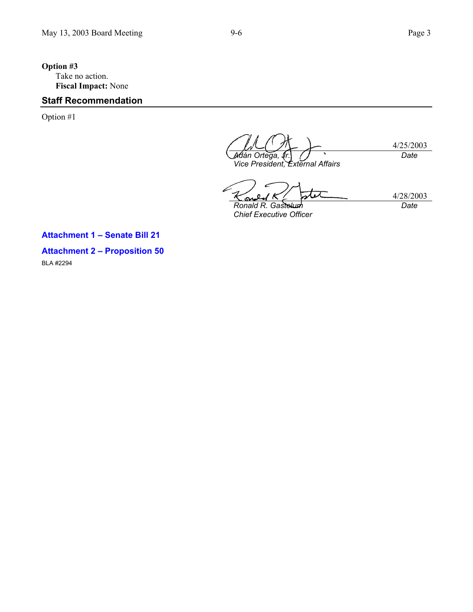# **Option #3**  Take no action. **Fiscal Impact:** None

# **Staff Recommendation**

Option #1

4/25/2003 *A*⁄dán Ortega, *Vice President, External Affairs Date*

4/28/2003 ٨. ١ പ *Ronald R. Gastelum Date*

*Chief Executive Officer* 

**Attachment 1 – Senate Bill 21 Attachment 2 – Proposition 50**  BLA #2294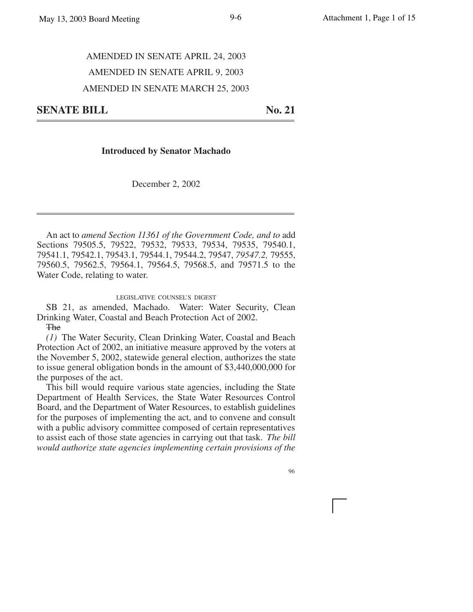#### **Introduced by Senator Machado**

December 2, 2002

An act to *amend Section 11361 of the Government Code, and to* add Sections 79505.5, 79522, 79532, 79533, 79534, 79535, 79540.1, 79541.1, 79542.1, 79543.1, 79544.1, 79544.2, 79547, *79547.2,* 79555, 79560.5, 79562.5, 79564.1, 79564.5, 79568.5, and 79571.5 to the Water Code, relating to water.

LEGISLATIVE COUNSEL'S DIGEST

SB 21, as amended, Machado. Water: Water Security, Clean Drinking Water, Coastal and Beach Protection Act of 2002. **The** 

*(1)* The Water Security, Clean Drinking Water, Coastal and Beach Protection Act of 2002, an initiative measure approved by the voters at the November 5, 2002, statewide general election, authorizes the state to issue general obligation bonds in the amount of \$3,440,000,000 for the purposes of the act.

This bill would require various state agencies, including the State Department of Health Services, the State Water Resources Control Board, and the Department of Water Resources, to establish guidelines for the purposes of implementing the act, and to convene and consult with a public advisory committee composed of certain representatives to assist each of those state agencies in carrying out that task. *The bill would authorize state agencies implementing certain provisions of the*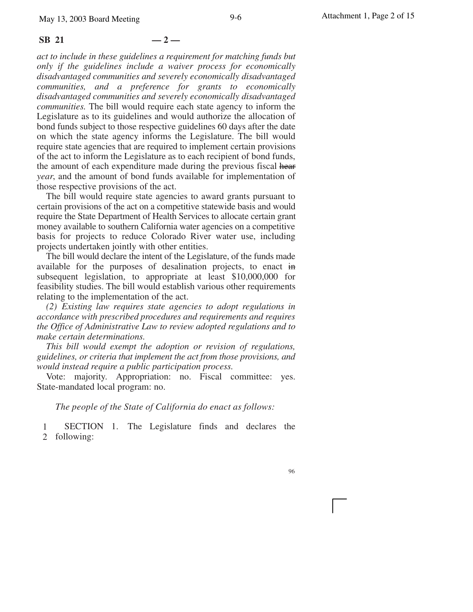#### $\text{SB } 21 \quad -2 \quad -$

*act to include in these guidelines a requirement for matching funds but only if the guidelines include a waiver process for economically disadvantaged communities and severely economically disadvantaged communities, and a preference for grants to economically disadvantaged communities and severely economically disadvantaged communities.* The bill would require each state agency to inform the Legislature as to its guidelines and would authorize the allocation of bond funds subject to those respective guidelines 60 days after the date on which the state agency informs the Legislature. The bill would require state agencies that are required to implement certain provisions of the act to inform the Legislature as to each recipient of bond funds, the amount of each expenditure made during the previous fiscal hear *year*, and the amount of bond funds available for implementation of those respective provisions of the act.

The bill would require state agencies to award grants pursuant to certain provisions of the act on a competitive statewide basis and would require the State Department of Health Services to allocate certain grant money available to southern California water agencies on a competitive basis for projects to reduce Colorado River water use, including projects undertaken jointly with other entities.

The bill would declare the intent of the Legislature, of the funds made available for the purposes of desalination projects, to enact in subsequent legislation, to appropriate at least \$10,000,000 for feasibility studies. The bill would establish various other requirements relating to the implementation of the act.

*(2) Existing law requires state agencies to adopt regulations in accordance with prescribed procedures and requirements and requires the Office of Administrative Law to review adopted regulations and to make certain determinations.*

*This bill would exempt the adoption or revision of regulations, guidelines, or criteria that implement the act from those provisions, and would instead require a public participation process.*

Vote: majority. Appropriation: no. Fiscal committee: yes. State-mandated local program: no.

*The people of the State of California do enact as follows:*

1 2 following: SECTION 1. The Legislature finds and declares the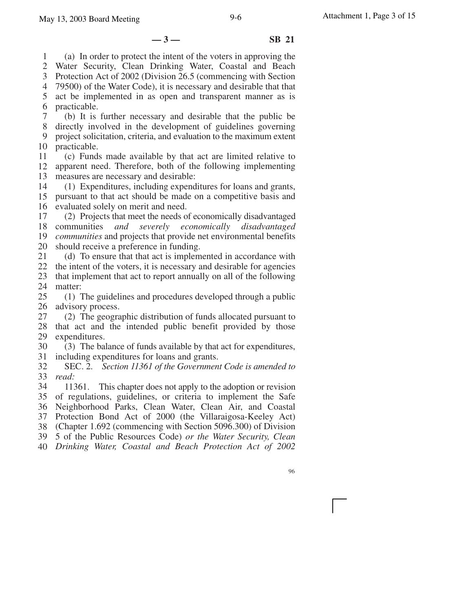**—3— SB 21**

1 (a) In order to protect the intent of the voters in approving the

2 3 Water Security, Clean Drinking Water, Coastal and Beach Protection Act of 2002 (Division 26.5 (commencing with Section

4 79500) of the Water Code), it is necessary and desirable that that

5 act be implemented in as open and transparent manner as is

6 practicable.

7 8 (b) It is further necessary and desirable that the public be

9 directly involved in the development of guidelines governing project solicitation, criteria, and evaluation to the maximum extent

10 practicable.

11 12 13 (c) Funds made available by that act are limited relative to apparent need. Therefore, both of the following implementing measures are necessary and desirable:

14 (1) Expenditures, including expenditures for loans and grants,

15 16 pursuant to that act should be made on a competitive basis and evaluated solely on merit and need.

17 18 communities *and severely economically disadvantaged* 19 20 (2) Projects that meet the needs of economically disadvantaged *communities* and projects that provide net environmental benefits should receive a preference in funding.

21 (d) To ensure that that act is implemented in accordance with

22 the intent of the voters, it is necessary and desirable for agencies

23 24 that implement that act to report annually on all of the following matter:

25 26 (1) The guidelines and procedures developed through a public advisory process.

27 28 29 (2) The geographic distribution of funds allocated pursuant to that act and the intended public benefit provided by those expenditures.

30 31 (3) The balance of funds available by that act for expenditures, including expenditures for loans and grants.

32 33 SEC. 2. *Section 11361 of the Government Code is amended to read:*

34 35 36 Neighborhood Parks, Clean Water, Clean Air, and Coastal 37 Protection Bond Act of 2000 (the Villaraigosa-Keeley Act) 38 (Chapter 1.692 (commencing with Section 5096.300) of Division 11361. This chapter does not apply to the adoption or revision of regulations, guidelines, or criteria to implement the Safe

39 5 of the Public Resources Code) *or the Water Security, Clean*

40 *Drinking Water, Coastal and Beach Protection Act of 2002*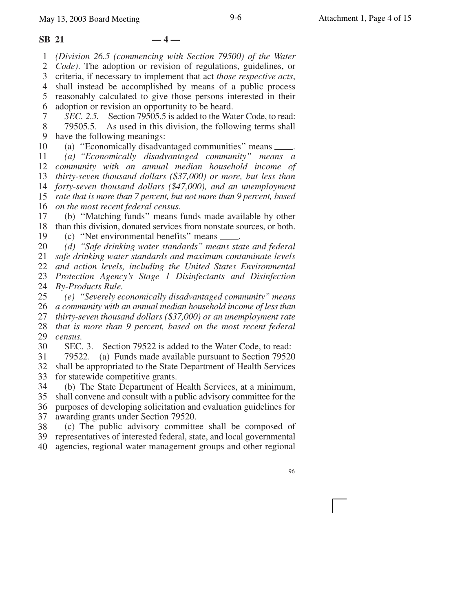#### **SB 21 — 4 —**

1 *(Division 26.5 (commencing with Section 79500) of the Water*

2 *Code)*. The adoption or revision of regulations, guidelines, or

3 4 criteria, if necessary to implement that act *those respective acts*,

5 6 shall instead be accomplished by means of a public process reasonably calculated to give those persons interested in their adoption or revision an opportunity to be heard.

7 8 9 *SEC. 2.5.* Section 79505.5 is added to the Water Code, to read: 79505.5. As used in this division, the following terms shall have the following meanings:

10 11 12 13 14 15 16 (a) "Economically disadvantaged communities" means  $\equiv$ *(a) ''Economically disadvantaged community'' means a community with an annual median household income of thirty-seven thousand dollars (\$37,000) or more, but less than forty-seven thousand dollars (\$47,000), and an unemployment rate that is more than 7 percent, but not more than 9 percent, based on the most recent federal census.*

17 18 19 (b) ''Matching funds'' means funds made available by other than this division, donated services from nonstate sources, or both. (c) "Net environmental benefits" means .........

20 *(d) ''Safe drinking water standards'' means state and federal*

21 *safe drinking water standards and maximum contaminate levels*

22 *and action levels, including the United States Environmental*

23 *Protection Agency's Stage 1 Disinfectants and Disinfection* 24 *By-Products Rule.*

25 26 27 28 29 *(e) ''Severely economically disadvantaged community'' means a community with an annual median household income of less than thirty-seven thousand dollars (\$37,000) or an unemployment rate that is more than 9 percent, based on the most recent federal census.*

30 SEC. 3. Section 79522 is added to the Water Code, to read:

31 32 33 79522. (a) Funds made available pursuant to Section 79520 shall be appropriated to the State Department of Health Services for statewide competitive grants.

34 (b) The State Department of Health Services, at a minimum,

35 36 37 shall convene and consult with a public advisory committee for the purposes of developing solicitation and evaluation guidelines for awarding grants under Section 79520.

38 39 40 (c) The public advisory committee shall be composed of representatives of interested federal, state, and local governmental agencies, regional water management groups and other regional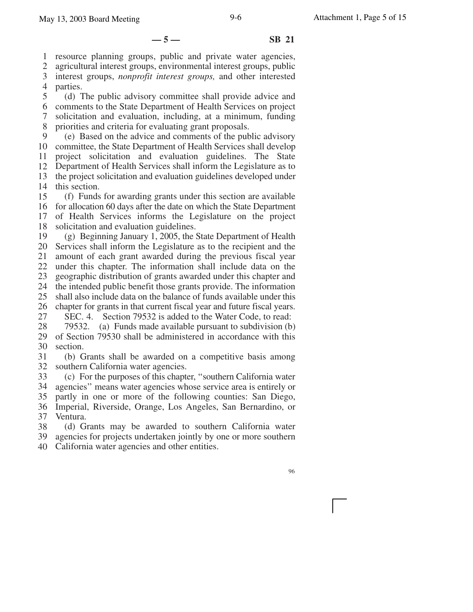**—5— SB 21**

1 resource planning groups, public and private water agencies,

2 3 agricultural interest groups, environmental interest groups, public interest groups, *nonprofit interest groups,* and other interested

4 parties.

5 (d) The public advisory committee shall provide advice and

6 7 8 comments to the State Department of Health Services on project solicitation and evaluation, including, at a minimum, funding priorities and criteria for evaluating grant proposals.

9 10 committee, the State Department of Health Services shall develop 11 12 13 14 (e) Based on the advice and comments of the public advisory project solicitation and evaluation guidelines. The State Department of Health Services shall inform the Legislature as to the project solicitation and evaluation guidelines developed under this section.

15 16 for allocation 60 days after the date on which the State Department 17 18 (f) Funds for awarding grants under this section are available of Health Services informs the Legislature on the project solicitation and evaluation guidelines.

19 20 21 22 23 24 25 26 27 28 (g) Beginning January 1, 2005, the State Department of Health Services shall inform the Legislature as to the recipient and the amount of each grant awarded during the previous fiscal year under this chapter. The information shall include data on the geographic distribution of grants awarded under this chapter and the intended public benefit those grants provide. The information shall also include data on the balance of funds available under this chapter for grants in that current fiscal year and future fiscal years. SEC. 4. Section 79532 is added to the Water Code, to read: 79532. (a) Funds made available pursuant to subdivision (b)

29 30 of Section 79530 shall be administered in accordance with this section.

31 32 (b) Grants shall be awarded on a competitive basis among southern California water agencies.

33 34 (c) For the purposes of this chapter, ''southern California water agencies'' means water agencies whose service area is entirely or

35 partly in one or more of the following counties: San Diego,

36 37 Imperial, Riverside, Orange, Los Angeles, San Bernardino, or Ventura.

38 (d) Grants may be awarded to southern California water

39 agencies for projects undertaken jointly by one or more southern

40 California water agencies and other entities.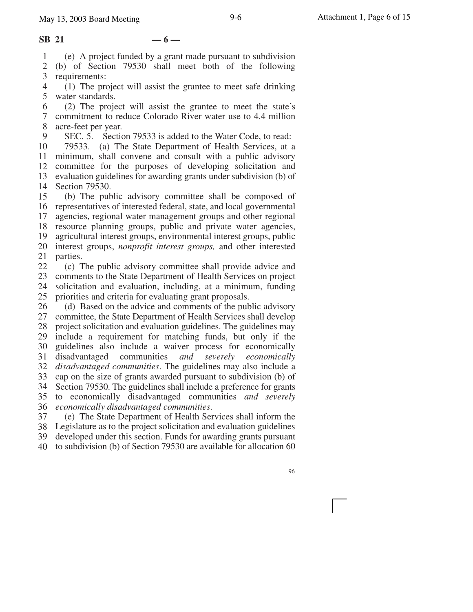#### $\text{SB } 21 \qquad -6 -$

1 (e) A project funded by a grant made pursuant to subdivision

2 3 (b) of Section 79530 shall meet both of the following

4 5 requirements: (1) The project will assist the grantee to meet safe drinking water standards.

6 7 8 (2) The project will assist the grantee to meet the state's commitment to reduce Colorado River water use to 4.4 million acre-feet per year.

9 SEC. 5. Section 79533 is added to the Water Code, to read:

10 11 12 13 14 79533. (a) The State Department of Health Services, at a minimum, shall convene and consult with a public advisory committee for the purposes of developing solicitation and evaluation guidelines for awarding grants under subdivision (b) of Section 79530.

15 16 representatives of interested federal, state, and local governmental 17 18 19 20 21 (b) The public advisory committee shall be composed of agencies, regional water management groups and other regional resource planning groups, public and private water agencies, agricultural interest groups, environmental interest groups, public interest groups, *nonprofit interest groups,* and other interested parties.

22 23 24 25 (c) The public advisory committee shall provide advice and comments to the State Department of Health Services on project solicitation and evaluation, including, at a minimum, funding priorities and criteria for evaluating grant proposals.

26 27 28 29 30 31 32 33 34 35 36 *economically disadvantaged communities*. (d) Based on the advice and comments of the public advisory committee, the State Department of Health Services shall develop project solicitation and evaluation guidelines. The guidelines may include a requirement for matching funds, but only if the guidelines also include a waiver process for economically disadvantaged communities *and severely economically disadvantaged communities*. The guidelines may also include a cap on the size of grants awarded pursuant to subdivision (b) of Section 79530. The guidelines shall include a preference for grants to economically disadvantaged communities *and severely*

37 (e) The State Department of Health Services shall inform the

38 Legislature as to the project solicitation and evaluation guidelines 39 40 developed under this section. Funds for awarding grants pursuant to subdivision (b) of Section 79530 are available for allocation 60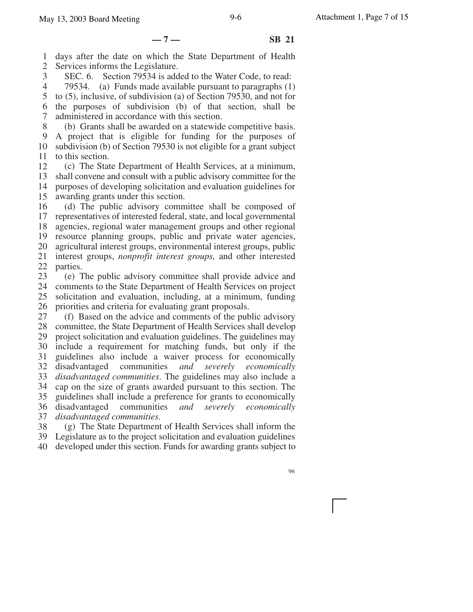**—7— SB 21**

1 2 days after the date on which the State Department of Health Services informs the Legislature.

3 SEC. 6. Section 79534 is added to the Water Code, to read:

4 5 6 7 79534. (a) Funds made available pursuant to paragraphs (1) to (5), inclusive, of subdivision (a) of Section 79530, and not for the purposes of subdivision (b) of that section, shall be administered in accordance with this section.

8 9 10 11 (b) Grants shall be awarded on a statewide competitive basis. A project that is eligible for funding for the purposes of subdivision (b) of Section 79530 is not eligible for a grant subject to this section.

12 13 14 15 (c) The State Department of Health Services, at a minimum, shall convene and consult with a public advisory committee for the purposes of developing solicitation and evaluation guidelines for awarding grants under this section.

16 17 18 19 20 21 22 (d) The public advisory committee shall be composed of representatives of interested federal, state, and local governmental agencies, regional water management groups and other regional resource planning groups, public and private water agencies, agricultural interest groups, environmental interest groups, public interest groups, *nonprofit interest groups,* and other interested parties.

23 24 25 26 (e) The public advisory committee shall provide advice and comments to the State Department of Health Services on project solicitation and evaluation, including, at a minimum, funding priorities and criteria for evaluating grant proposals.

27 28 29 30 31 32 33 34 35 36 37 (f) Based on the advice and comments of the public advisory committee, the State Department of Health Services shall develop project solicitation and evaluation guidelines. The guidelines may include a requirement for matching funds, but only if the guidelines also include a waiver process for economically disadvantaged communities *and severely economically disadvantaged communities*. The guidelines may also include a cap on the size of grants awarded pursuant to this section. The guidelines shall include a preference for grants to economically disadvantaged communities *and severely economically disadvantaged communities*.

38 (g) The State Department of Health Services shall inform the

39 Legislature as to the project solicitation and evaluation guidelines

40 developed under this section. Funds for awarding grants subject to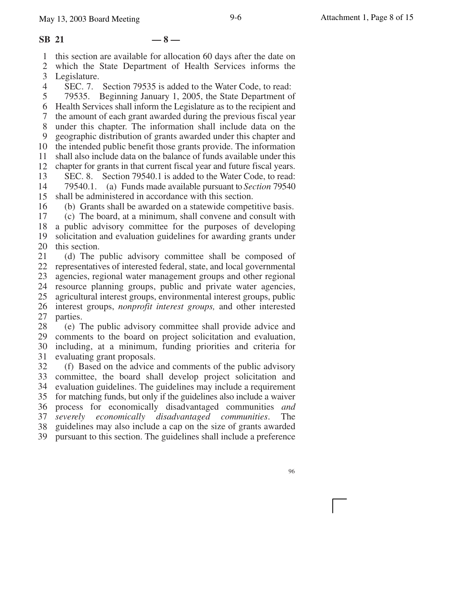#### **SB 21 — 8 —**

1 this section are available for allocation 60 days after the date on

2 which the State Department of Health Services informs the

3 Legislature.

4 SEC. 7. Section 79535 is added to the Water Code, to read:

5 6 Health Services shall inform the Legislature as to the recipient and 7 8 9 10 11 12 79535. Beginning January 1, 2005, the State Department of the amount of each grant awarded during the previous fiscal year under this chapter. The information shall include data on the geographic distribution of grants awarded under this chapter and the intended public benefit those grants provide. The information shall also include data on the balance of funds available under this chapter for grants in that current fiscal year and future fiscal years.

13 14 SEC. 8. Section 79540.1 is added to the Water Code, to read: 79540.1. (a) Funds made available pursuant to *Section* 79540

15 shall be administered in accordance with this section.

16 (b) Grants shall be awarded on a statewide competitive basis.

17 18 (c) The board, at a minimum, shall convene and consult with a public advisory committee for the purposes of developing

19 20 solicitation and evaluation guidelines for awarding grants under this section.

21 22 23 24 25 26 27 (d) The public advisory committee shall be composed of representatives of interested federal, state, and local governmental agencies, regional water management groups and other regional resource planning groups, public and private water agencies, agricultural interest groups, environmental interest groups, public interest groups, *nonprofit interest groups,* and other interested parties.

28 29 30 31 (e) The public advisory committee shall provide advice and comments to the board on project solicitation and evaluation, including, at a minimum, funding priorities and criteria for evaluating grant proposals.

32 33 34 35 36 37 38 39 (f) Based on the advice and comments of the public advisory committee, the board shall develop project solicitation and evaluation guidelines. The guidelines may include a requirement for matching funds, but only if the guidelines also include a waiver process for economically disadvantaged communities *and severely economically disadvantaged communities*. The guidelines may also include a cap on the size of grants awarded pursuant to this section. The guidelines shall include a preference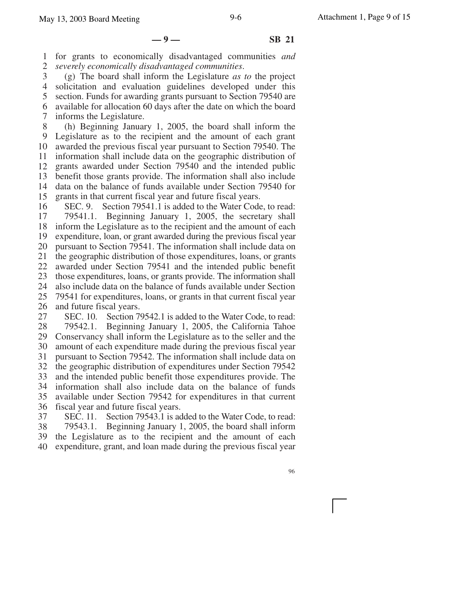**—9— SB 21**

1 2 for grants to economically disadvantaged communities *and severely economically disadvantaged communities*.

3 4 5 6 7 (g) The board shall inform the Legislature *as to* the project solicitation and evaluation guidelines developed under this section. Funds for awarding grants pursuant to Section 79540 are available for allocation 60 days after the date on which the board informs the Legislature.

8 9 10 11 12 13 14 15 (h) Beginning January 1, 2005, the board shall inform the Legislature as to the recipient and the amount of each grant awarded the previous fiscal year pursuant to Section 79540. The information shall include data on the geographic distribution of grants awarded under Section 79540 and the intended public benefit those grants provide. The information shall also include data on the balance of funds available under Section 79540 for grants in that current fiscal year and future fiscal years.

16 17 18 19 20 21 22 23 24 25 26 SEC. 9. Section 79541.1 is added to the Water Code, to read: 79541.1. Beginning January 1, 2005, the secretary shall inform the Legislature as to the recipient and the amount of each expenditure, loan, or grant awarded during the previous fiscal year pursuant to Section 79541. The information shall include data on the geographic distribution of those expenditures, loans, or grants awarded under Section 79541 and the intended public benefit those expenditures, loans, or grants provide. The information shall also include data on the balance of funds available under Section 79541 for expenditures, loans, or grants in that current fiscal year and future fiscal years.

27 28 29 30 31 32 33 34 35 36 SEC. 10. Section 79542.1 is added to the Water Code, to read: 79542.1. Beginning January 1, 2005, the California Tahoe Conservancy shall inform the Legislature as to the seller and the amount of each expenditure made during the previous fiscal year pursuant to Section 79542. The information shall include data on the geographic distribution of expenditures under Section 79542 and the intended public benefit those expenditures provide. The information shall also include data on the balance of funds available under Section 79542 for expenditures in that current fiscal year and future fiscal years.

37 38 39 40 SEC. 11. Section 79543.1 is added to the Water Code, to read: 79543.1. Beginning January 1, 2005, the board shall inform the Legislature as to the recipient and the amount of each expenditure, grant, and loan made during the previous fiscal year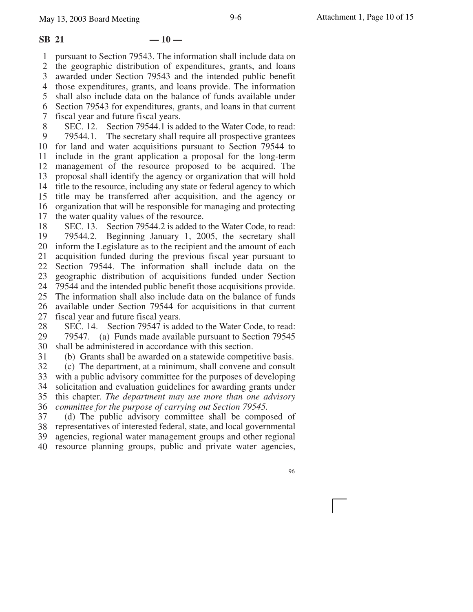1 2 3 4 5 6 7 8 9 10 for land and water acquisitions pursuant to Section 79544 to 11 12 13 14 15 16 17 18 19 20 inform the Legislature as to the recipient and the amount of each 21 22 23 pursuant to Section 79543. The information shall include data on the geographic distribution of expenditures, grants, and loans awarded under Section 79543 and the intended public benefit those expenditures, grants, and loans provide. The information shall also include data on the balance of funds available under Section 79543 for expenditures, grants, and loans in that current fiscal year and future fiscal years. SEC. 12. Section 79544.1 is added to the Water Code, to read: 79544.1. The secretary shall require all prospective grantees include in the grant application a proposal for the long-term management of the resource proposed to be acquired. The proposal shall identify the agency or organization that will hold title to the resource, including any state or federal agency to which title may be transferred after acquisition, and the agency or organization that will be responsible for managing and protecting the water quality values of the resource. SEC. 13. Section 79544.2 is added to the Water Code, to read: 79544.2. Beginning January 1, 2005, the secretary shall acquisition funded during the previous fiscal year pursuant to Section 79544. The information shall include data on the geographic distribution of acquisitions funded under Section

24 79544 and the intended public benefit those acquisitions provide.

25 26 The information shall also include data on the balance of funds available under Section 79544 for acquisitions in that current

27 fiscal year and future fiscal years.

28 29 30 SEC. 14. Section 79547 is added to the Water Code, to read: 79547. (a) Funds made available pursuant to Section 79545 shall be administered in accordance with this section.

31 (b) Grants shall be awarded on a statewide competitive basis.

32 33 34 35 (c) The department, at a minimum, shall convene and consult with a public advisory committee for the purposes of developing solicitation and evaluation guidelines for awarding grants under this chapter. *The department may use more than one advisory*

36 *committee for the purpose of carrying out Section 79545.*

37 38 (d) The public advisory committee shall be composed of representatives of interested federal, state, and local governmental

39 agencies, regional water management groups and other regional

40 resource planning groups, public and private water agencies,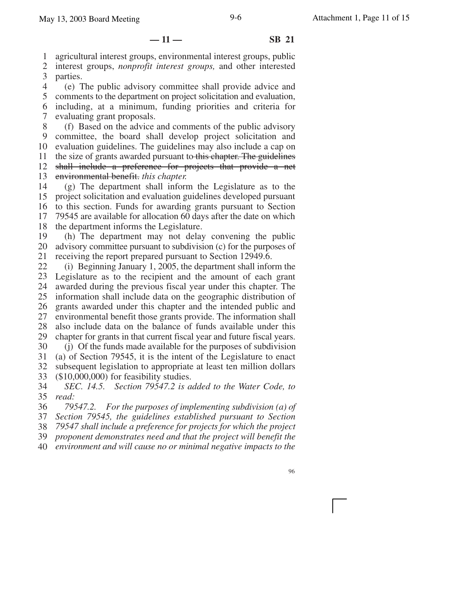**— 11 — SB 21**

1 2 agricultural interest groups, environmental interest groups, public interest groups, *nonprofit interest groups,* and other interested

3 parties.

4 5 6 7 (e) The public advisory committee shall provide advice and comments to the department on project solicitation and evaluation, including, at a minimum, funding priorities and criteria for evaluating grant proposals.

8 9 10 11 12 13 (f) Based on the advice and comments of the public advisory committee, the board shall develop project solicitation and evaluation guidelines. The guidelines may also include a cap on the size of grants awarded pursuant to this chapter. The guidelines shall include a preference for projects that provide a net environmental benefit. *this chapter.*

14 15 16 17 18 (g) The department shall inform the Legislature as to the project solicitation and evaluation guidelines developed pursuant to this section. Funds for awarding grants pursuant to Section 79545 are available for allocation 60 days after the date on which the department informs the Legislature.

19 20 21 (h) The department may not delay convening the public advisory committee pursuant to subdivision (c) for the purposes of receiving the report prepared pursuant to Section 12949.6.

22 23 Legislature as to the recipient and the amount of each grant 24 25 26 27 28 29 30 (i) Beginning January 1, 2005, the department shall inform the awarded during the previous fiscal year under this chapter. The information shall include data on the geographic distribution of grants awarded under this chapter and the intended public and environmental benefit those grants provide. The information shall also include data on the balance of funds available under this chapter for grants in that current fiscal year and future fiscal years. (j) Of the funds made available for the purposes of subdivision

31 32 33 (a) of Section 79545, it is the intent of the Legislature to enact subsequent legislation to appropriate at least ten million dollars (\$10,000,000) for feasibility studies.

34 35 *SEC. 14.5. Section 79547.2 is added to the Water Code, to read:*

36 *79547.2. For the purposes of implementing subdivision (a) of*

37 *Section 79545, the guidelines established pursuant to Section*

38 *79547 shall include a preference for projects for which the project*

39 *proponent demonstrates need and that the project will benefit the*

40 *environment and will cause no or minimal negative impacts to the*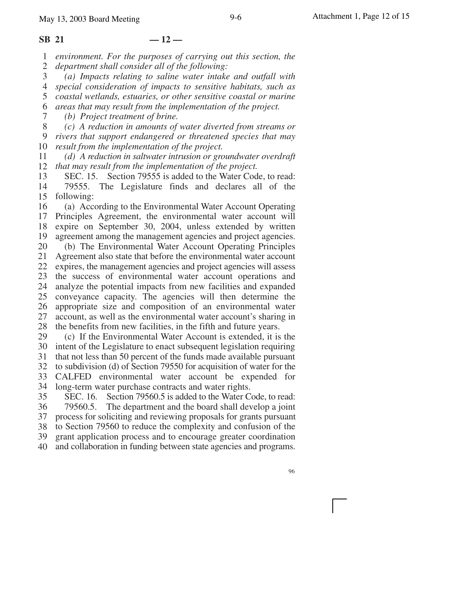7

1 2 *environment. For the purposes of carrying out this section, the department shall consider all of the following:*

3 4 *(a) Impacts relating to saline water intake and outfall with special consideration of impacts to sensitive habitats, such as*

5 6 *coastal wetlands, estuaries, or other sensitive coastal or marine areas that may result from the implementation of the project.*

*(b) Project treatment of brine.*

8 *(c) A reduction in amounts of water diverted from streams or*

9 10 *rivers that support endangered or threatened species that may result from the implementation of the project.*

11 12 *(d) A reduction in saltwater intrusion or groundwater overdraft that may result from the implementation of the project.*

13 14 15 following: SEC. 15. Section 79555 is added to the Water Code, to read: 79555. The Legislature finds and declares all of the

16 17 18 19 (a) According to the Environmental Water Account Operating Principles Agreement, the environmental water account will expire on September 30, 2004, unless extended by written agreement among the management agencies and project agencies.

20 21 22 23 24 25 26 27 28 (b) The Environmental Water Account Operating Principles Agreement also state that before the environmental water account expires, the management agencies and project agencies will assess the success of environmental water account operations and analyze the potential impacts from new facilities and expanded conveyance capacity. The agencies will then determine the appropriate size and composition of an environmental water account, as well as the environmental water account's sharing in the benefits from new facilities, in the fifth and future years.

29 30 (c) If the Environmental Water Account is extended, it is the intent of the Legislature to enact subsequent legislation requiring

31 that not less than 50 percent of the funds made available pursuant

32 33 to subdivision (d) of Section 79550 for acquisition of water for the CALFED environmental water account be expended for

34 long-term water purchase contracts and water rights.

35 36 37 38 39 40 SEC. 16. Section 79560.5 is added to the Water Code, to read: 79560.5. The department and the board shall develop a joint process for soliciting and reviewing proposals for grants pursuant to Section 79560 to reduce the complexity and confusion of the grant application process and to encourage greater coordination and collaboration in funding between state agencies and programs.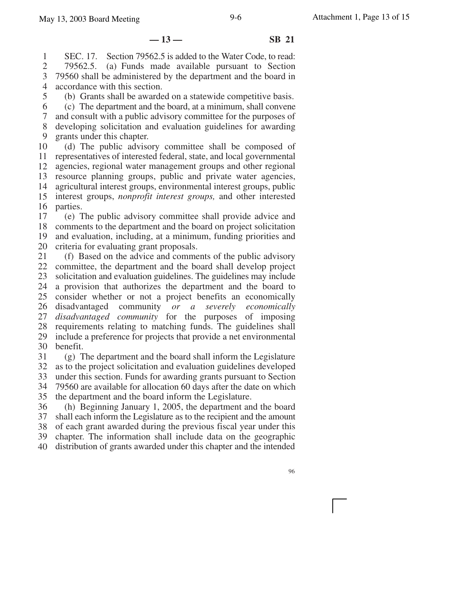**— 13 — SB 21**

1 2 3 4 SEC. 17. Section 79562.5 is added to the Water Code, to read: 79562.5. (a) Funds made available pursuant to Section 79560 shall be administered by the department and the board in accordance with this section.

5 6 7 8 9 (b) Grants shall be awarded on a statewide competitive basis. (c) The department and the board, at a minimum, shall convene and consult with a public advisory committee for the purposes of developing solicitation and evaluation guidelines for awarding grants under this chapter.

10 11 12 13 14 15 16 (d) The public advisory committee shall be composed of representatives of interested federal, state, and local governmental agencies, regional water management groups and other regional resource planning groups, public and private water agencies, agricultural interest groups, environmental interest groups, public interest groups, *nonprofit interest groups,* and other interested parties.

17 18 19 20 (e) The public advisory committee shall provide advice and comments to the department and the board on project solicitation and evaluation, including, at a minimum, funding priorities and criteria for evaluating grant proposals.

21 22 23 24 25 26 27 28 29 30 (f) Based on the advice and comments of the public advisory committee, the department and the board shall develop project solicitation and evaluation guidelines. The guidelines may include a provision that authorizes the department and the board to consider whether or not a project benefits an economically disadvantaged community *or a severely economically disadvantaged community* for the purposes of imposing requirements relating to matching funds. The guidelines shall include a preference for projects that provide a net environmental benefit.

31 32 33 34 35 (g) The department and the board shall inform the Legislature as to the project solicitation and evaluation guidelines developed under this section. Funds for awarding grants pursuant to Section 79560 are available for allocation 60 days after the date on which the department and the board inform the Legislature.

36 37 38 39 40 (h) Beginning January 1, 2005, the department and the board shall each inform the Legislature as to the recipient and the amount of each grant awarded during the previous fiscal year under this chapter. The information shall include data on the geographic distribution of grants awarded under this chapter and the intended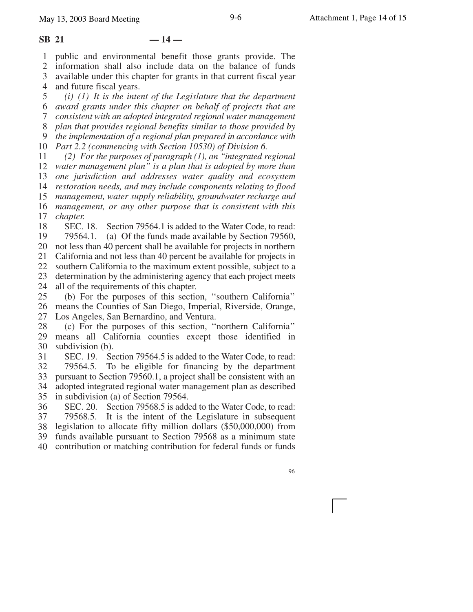#### $SB$  21  $-14-$

1 2 3 4 public and environmental benefit those grants provide. The information shall also include data on the balance of funds available under this chapter for grants in that current fiscal year and future fiscal years.

5 6 7 8 9 10 *Part 2.2 (commencing with Section 10530) of Division 6. (i) (1) It is the intent of the Legislature that the department award grants under this chapter on behalf of projects that are consistent with an adopted integrated regional water management plan that provides regional benefits similar to those provided by the implementation of a regional plan prepared in accordance with*

11 12 *water management plan'' is a plan that is adopted by more than* 13 14 15 16 17 *(2) For the purposes of paragraph (1), an ''integrated regional one jurisdiction and addresses water quality and ecosystem restoration needs, and may include components relating to flood management, water supply reliability, groundwater recharge and management, or any other purpose that is consistent with this chapter.*

18 19 20 not less than 40 percent shall be available for projects in northern 21 22 23 24 SEC. 18. Section 79564.1 is added to the Water Code, to read: 79564.1. (a) Of the funds made available by Section 79560, California and not less than 40 percent be available for projects in southern California to the maximum extent possible, subject to a determination by the administering agency that each project meets all of the requirements of this chapter.

25 26 27 (b) For the purposes of this section, ''southern California'' means the Counties of San Diego, Imperial, Riverside, Orange, Los Angeles, San Bernardino, and Ventura.

28 29 30 (c) For the purposes of this section, ''northern California'' means all California counties except those identified in subdivision (b).

31 32 33 34 35 SEC. 19. Section 79564.5 is added to the Water Code, to read: 79564.5. To be eligible for financing by the department pursuant to Section 79560.1, a project shall be consistent with an adopted integrated regional water management plan as described in subdivision (a) of Section 79564.

36 37 38 39 40 SEC. 20. Section 79568.5 is added to the Water Code, to read: 79568.5. It is the intent of the Legislature in subsequent legislation to allocate fifty million dollars (\$50,000,000) from funds available pursuant to Section 79568 as a minimum state contribution or matching contribution for federal funds or funds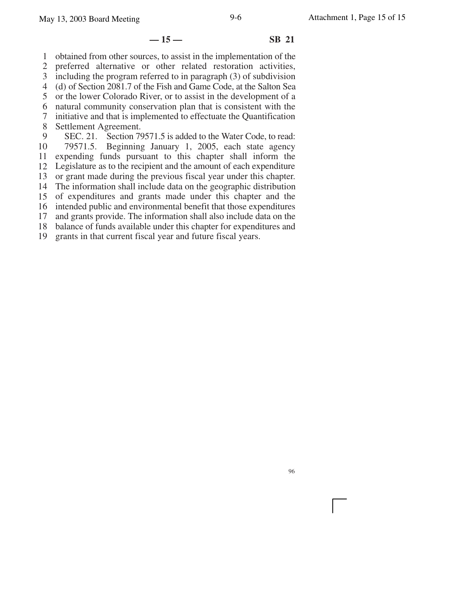#### **— 15 — SB 21**

1 obtained from other sources, to assist in the implementation of the

2 preferred alternative or other related restoration activities,

3 including the program referred to in paragraph (3) of subdivision

4 (d) of Section 2081.7 of the Fish and Game Code, at the Salton Sea

5 6 or the lower Colorado River, or to assist in the development of a natural community conservation plan that is consistent with the

7 initiative and that is implemented to effectuate the Quantification

8 Settlement Agreement.

9 SEC. 21. Section 79571.5 is added to the Water Code, to read:

10 79571.5. Beginning January 1, 2005, each state agency

11 expending funds pursuant to this chapter shall inform the

12 Legislature as to the recipient and the amount of each expenditure

13 or grant made during the previous fiscal year under this chapter.

14 The information shall include data on the geographic distribution

15 of expenditures and grants made under this chapter and the

16 intended public and environmental benefit that those expenditures

17 18 and grants provide. The information shall also include data on the balance of funds available under this chapter for expenditures and

19 grants in that current fiscal year and future fiscal years.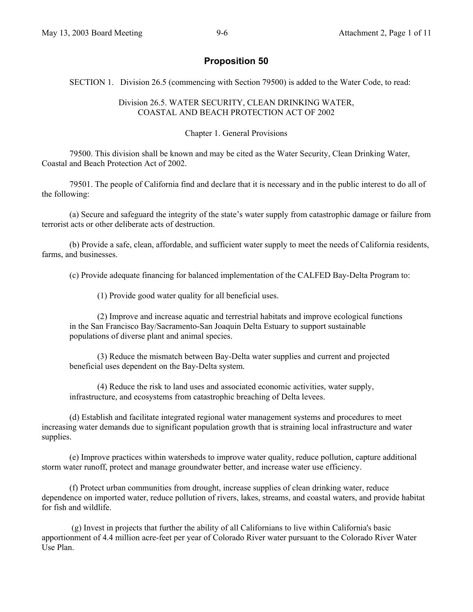# **Proposition 50**

SECTION 1. Division 26.5 (commencing with Section 79500) is added to the Water Code, to read:

### Division 26.5. WATER SECURITY, CLEAN DRINKING WATER, COASTAL AND BEACH PROTECTION ACT OF 2002

### Chapter 1. General Provisions

79500. This division shall be known and may be cited as the Water Security, Clean Drinking Water, Coastal and Beach Protection Act of 2002.

79501. The people of California find and declare that it is necessary and in the public interest to do all of the following:

(a) Secure and safeguard the integrity of the state's water supply from catastrophic damage or failure from terrorist acts or other deliberate acts of destruction.

(b) Provide a safe, clean, affordable, and sufficient water supply to meet the needs of California residents, farms, and businesses.

(c) Provide adequate financing for balanced implementation of the CALFED Bay-Delta Program to:

(1) Provide good water quality for all beneficial uses.

(2) Improve and increase aquatic and terrestrial habitats and improve ecological functions in the San Francisco Bay/Sacramento-San Joaquin Delta Estuary to support sustainable populations of diverse plant and animal species.

(3) Reduce the mismatch between Bay-Delta water supplies and current and projected beneficial uses dependent on the Bay-Delta system.

(4) Reduce the risk to land uses and associated economic activities, water supply, infrastructure, and ecosystems from catastrophic breaching of Delta levees.

(d) Establish and facilitate integrated regional water management systems and procedures to meet increasing water demands due to significant population growth that is straining local infrastructure and water supplies.

(e) Improve practices within watersheds to improve water quality, reduce pollution, capture additional storm water runoff, protect and manage groundwater better, and increase water use efficiency.

(f) Protect urban communities from drought, increase supplies of clean drinking water, reduce dependence on imported water, reduce pollution of rivers, lakes, streams, and coastal waters, and provide habitat for fish and wildlife.

 (g) Invest in projects that further the ability of all Californians to live within California's basic apportionment of 4.4 million acre-feet per year of Colorado River water pursuant to the Colorado River Water Use Plan.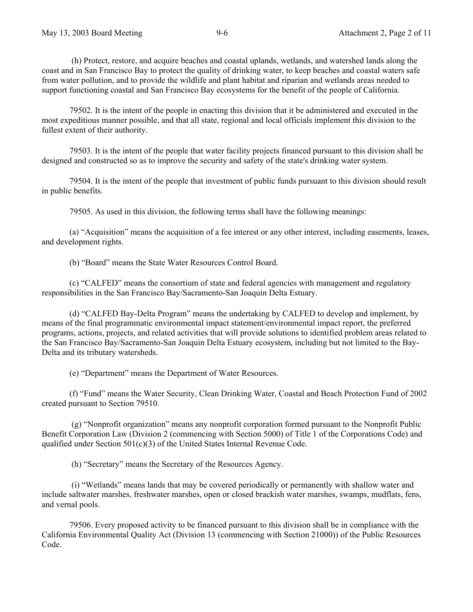(h) Protect, restore, and acquire beaches and coastal uplands, wetlands, and watershed lands along the coast and in San Francisco Bay to protect the quality of drinking water, to keep beaches and coastal waters safe from water pollution, and to provide the wildlife and plant habitat and riparian and wetlands areas needed to support functioning coastal and San Francisco Bay ecosystems for the benefit of the people of California.

79502. It is the intent of the people in enacting this division that it be administered and executed in the most expeditious manner possible, and that all state, regional and local officials implement this division to the fullest extent of their authority.

79503. It is the intent of the people that water facility projects financed pursuant to this division shall be designed and constructed so as to improve the security and safety of the state's drinking water system.

79504. It is the intent of the people that investment of public funds pursuant to this division should result in public benefits.

79505. As used in this division, the following terms shall have the following meanings:

(a) "Acquisition" means the acquisition of a fee interest or any other interest, including easements, leases, and development rights.

(b) "Board" means the State Water Resources Control Board.

(c) "CALFED" means the consortium of state and federal agencies with management and regulatory responsibilities in the San Francisco Bay/Sacramento-San Joaquin Delta Estuary.

(d) "CALFED Bay-Delta Program" means the undertaking by CALFED to develop and implement, by means of the final programmatic environmental impact statement/environmental impact report, the preferred programs, actions, projects, and related activities that will provide solutions to identified problem areas related to the San Francisco Bay/Sacramento-San Joaquin Delta Estuary ecosystem, including but not limited to the Bay-Delta and its tributary watersheds.

(e) "Department" means the Department of Water Resources.

(f) "Fund" means the Water Security, Clean Drinking Water, Coastal and Beach Protection Fund of 2002 created pursuant to Section 79510.

 (g) "Nonprofit organization" means any nonprofit corporation formed pursuant to the Nonprofit Public Benefit Corporation Law (Division 2 (commencing with Section 5000) of Title 1 of the Corporations Code) and qualified under Section 501(c)(3) of the United States Internal Revenue Code.

(h) "Secretary" means the Secretary of the Resources Agency.

 (i) "Wetlands" means lands that may be covered periodically or permanently with shallow water and include saltwater marshes, freshwater marshes, open or closed brackish water marshes, swamps, mudflats, fens, and vernal pools.

79506. Every proposed activity to be financed pursuant to this division shall be in compliance with the California Environmental Quality Act (Division 13 (commencing with Section 21000)) of the Public Resources Code.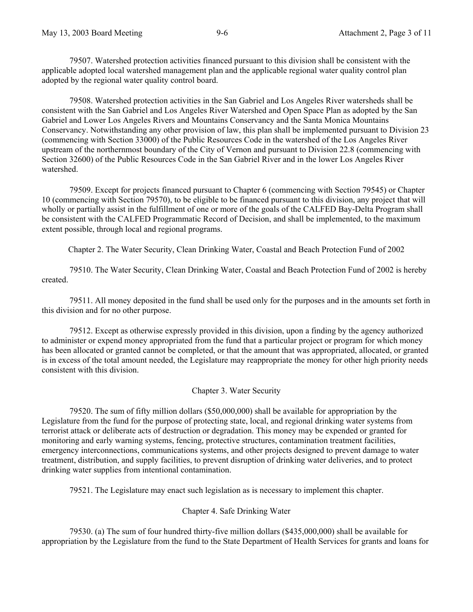79507. Watershed protection activities financed pursuant to this division shall be consistent with the applicable adopted local watershed management plan and the applicable regional water quality control plan adopted by the regional water quality control board.

79508. Watershed protection activities in the San Gabriel and Los Angeles River watersheds shall be consistent with the San Gabriel and Los Angeles River Watershed and Open Space Plan as adopted by the San Gabriel and Lower Los Angeles Rivers and Mountains Conservancy and the Santa Monica Mountains Conservancy. Notwithstanding any other provision of law, this plan shall be implemented pursuant to Division 23 (commencing with Section 33000) of the Public Resources Code in the watershed of the Los Angeles River upstream of the northernmost boundary of the City of Vernon and pursuant to Division 22.8 (commencing with Section 32600) of the Public Resources Code in the San Gabriel River and in the lower Los Angeles River watershed.

79509. Except for projects financed pursuant to Chapter 6 (commencing with Section 79545) or Chapter 10 (commencing with Section 79570), to be eligible to be financed pursuant to this division, any project that will wholly or partially assist in the fulfillment of one or more of the goals of the CALFED Bay-Delta Program shall be consistent with the CALFED Programmatic Record of Decision, and shall be implemented, to the maximum extent possible, through local and regional programs.

Chapter 2. The Water Security, Clean Drinking Water, Coastal and Beach Protection Fund of 2002

79510. The Water Security, Clean Drinking Water, Coastal and Beach Protection Fund of 2002 is hereby created.

79511. All money deposited in the fund shall be used only for the purposes and in the amounts set forth in this division and for no other purpose.

79512. Except as otherwise expressly provided in this division, upon a finding by the agency authorized to administer or expend money appropriated from the fund that a particular project or program for which money has been allocated or granted cannot be completed, or that the amount that was appropriated, allocated, or granted is in excess of the total amount needed, the Legislature may reappropriate the money for other high priority needs consistent with this division.

#### Chapter 3. Water Security

79520. The sum of fifty million dollars (\$50,000,000) shall be available for appropriation by the Legislature from the fund for the purpose of protecting state, local, and regional drinking water systems from terrorist attack or deliberate acts of destruction or degradation. This money may be expended or granted for monitoring and early warning systems, fencing, protective structures, contamination treatment facilities, emergency interconnections, communications systems, and other projects designed to prevent damage to water treatment, distribution, and supply facilities, to prevent disruption of drinking water deliveries, and to protect drinking water supplies from intentional contamination.

79521. The Legislature may enact such legislation as is necessary to implement this chapter.

Chapter 4. Safe Drinking Water

79530. (a) The sum of four hundred thirty-five million dollars (\$435,000,000) shall be available for appropriation by the Legislature from the fund to the State Department of Health Services for grants and loans for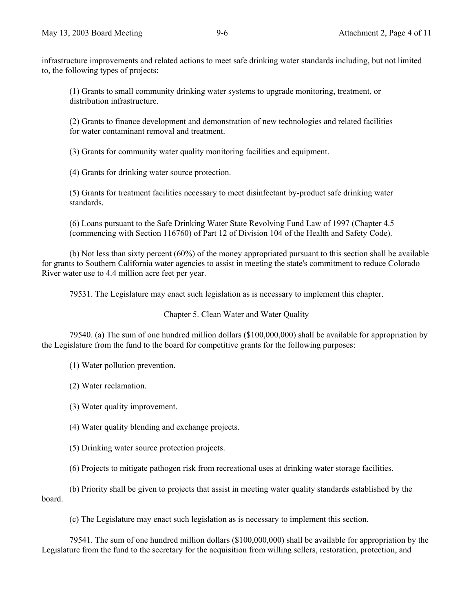infrastructure improvements and related actions to meet safe drinking water standards including, but not limited to, the following types of projects:

(1) Grants to small community drinking water systems to upgrade monitoring, treatment, or distribution infrastructure.

(2) Grants to finance development and demonstration of new technologies and related facilities for water contaminant removal and treatment.

(3) Grants for community water quality monitoring facilities and equipment.

(4) Grants for drinking water source protection.

(5) Grants for treatment facilities necessary to meet disinfectant by-product safe drinking water standards.

(6) Loans pursuant to the Safe Drinking Water State Revolving Fund Law of 1997 (Chapter 4.5 (commencing with Section 116760) of Part 12 of Division 104 of the Health and Safety Code).

(b) Not less than sixty percent (60%) of the money appropriated pursuant to this section shall be available for grants to Southern California water agencies to assist in meeting the state's commitment to reduce Colorado River water use to 4.4 million acre feet per year.

79531. The Legislature may enact such legislation as is necessary to implement this chapter.

Chapter 5. Clean Water and Water Quality

79540. (a) The sum of one hundred million dollars (\$100,000,000) shall be available for appropriation by the Legislature from the fund to the board for competitive grants for the following purposes:

(1) Water pollution prevention.

(2) Water reclamation.

(3) Water quality improvement.

(4) Water quality blending and exchange projects.

(5) Drinking water source protection projects.

(6) Projects to mitigate pathogen risk from recreational uses at drinking water storage facilities.

(b) Priority shall be given to projects that assist in meeting water quality standards established by the board.

(c) The Legislature may enact such legislation as is necessary to implement this section.

79541. The sum of one hundred million dollars (\$100,000,000) shall be available for appropriation by the Legislature from the fund to the secretary for the acquisition from willing sellers, restoration, protection, and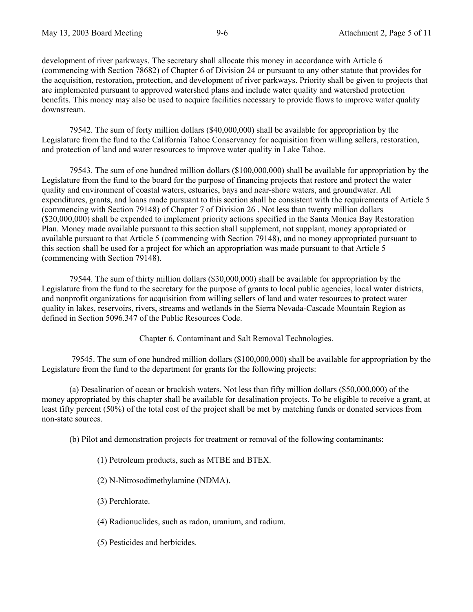development of river parkways. The secretary shall allocate this money in accordance with Article 6 (commencing with Section 78682) of Chapter 6 of Division 24 or pursuant to any other statute that provides for the acquisition, restoration, protection, and development of river parkways. Priority shall be given to projects that are implemented pursuant to approved watershed plans and include water quality and watershed protection benefits. This money may also be used to acquire facilities necessary to provide flows to improve water quality downstream.

79542. The sum of forty million dollars (\$40,000,000) shall be available for appropriation by the Legislature from the fund to the California Tahoe Conservancy for acquisition from willing sellers, restoration, and protection of land and water resources to improve water quality in Lake Tahoe.

79543. The sum of one hundred million dollars (\$100,000,000) shall be available for appropriation by the Legislature from the fund to the board for the purpose of financing projects that restore and protect the water quality and environment of coastal waters, estuaries, bays and near-shore waters, and groundwater. All expenditures, grants, and loans made pursuant to this section shall be consistent with the requirements of Article 5 (commencing with Section 79148) of Chapter 7 of Division 26 . Not less than twenty million dollars (\$20,000,000) shall be expended to implement priority actions specified in the Santa Monica Bay Restoration Plan. Money made available pursuant to this section shall supplement, not supplant, money appropriated or available pursuant to that Article 5 (commencing with Section 79148), and no money appropriated pursuant to this section shall be used for a project for which an appropriation was made pursuant to that Article 5 (commencing with Section 79148).

79544. The sum of thirty million dollars (\$30,000,000) shall be available for appropriation by the Legislature from the fund to the secretary for the purpose of grants to local public agencies, local water districts, and nonprofit organizations for acquisition from willing sellers of land and water resources to protect water quality in lakes, reservoirs, rivers, streams and wetlands in the Sierra Nevada-Cascade Mountain Region as defined in Section 5096.347 of the Public Resources Code.

Chapter 6. Contaminant and Salt Removal Technologies.

 79545. The sum of one hundred million dollars (\$100,000,000) shall be available for appropriation by the Legislature from the fund to the department for grants for the following projects:

(a) Desalination of ocean or brackish waters. Not less than fifty million dollars (\$50,000,000) of the money appropriated by this chapter shall be available for desalination projects. To be eligible to receive a grant, at least fifty percent (50%) of the total cost of the project shall be met by matching funds or donated services from non-state sources.

(b) Pilot and demonstration projects for treatment or removal of the following contaminants:

- (1) Petroleum products, such as MTBE and BTEX.
- (2) N-Nitrosodimethylamine (NDMA).
- (3) Perchlorate.
- (4) Radionuclides, such as radon, uranium, and radium.
- (5) Pesticides and herbicides.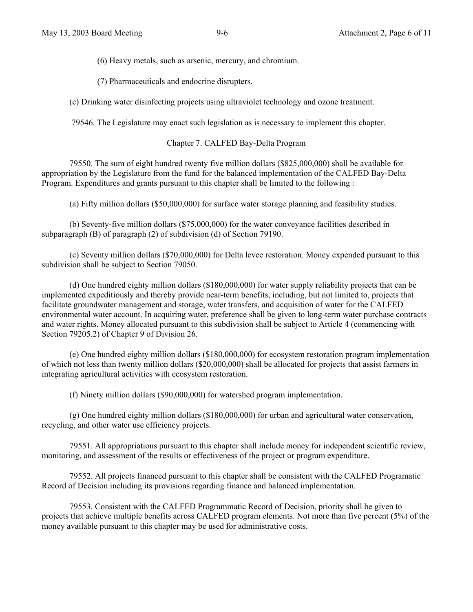(6) Heavy metals, such as arsenic, mercury, and chromium.

(7) Pharmaceuticals and endocrine disrupters.

(c) Drinking water disinfecting projects using ultraviolet technology and ozone treatment.

79546. The Legislature may enact such legislation as is necessary to implement this chapter.

#### Chapter 7. CALFED Bay-Delta Program

79550. The sum of eight hundred twenty five million dollars (\$825,000,000) shall be available for appropriation by the Legislature from the fund for the balanced implementation of the CALFED Bay-Delta Program. Expenditures and grants pursuant to this chapter shall be limited to the following :

(a) Fifty million dollars (\$50,000,000) for surface water storage planning and feasibility studies.

(b) Seventy-five million dollars (\$75,000,000) for the water conveyance facilities described in subparagraph (B) of paragraph (2) of subdivision (d) of Section 79190.

(c) Seventy million dollars (\$70,000,000) for Delta levee restoration. Money expended pursuant to this subdivision shall be subject to Section 79050.

(d) One hundred eighty million dollars (\$180,000,000) for water supply reliability projects that can be implemented expeditiously and thereby provide near-term benefits, including, but not limited to, projects that facilitate groundwater management and storage, water transfers, and acquisition of water for the CALFED environmental water account. In acquiring water, preference shall be given to long-term water purchase contracts and water rights. Money allocated pursuant to this subdivision shall be subject to Article 4 (commencing with Section 79205.2) of Chapter 9 of Division 26.

(e) One hundred eighty million dollars (\$180,000,000) for ecosystem restoration program implementation of which not less than twenty million dollars (\$20,000,000) shall be allocated for projects that assist farmers in integrating agricultural activities with ecosystem restoration.

(f) Ninety million dollars (\$90,000,000) for watershed program implementation.

(g) One hundred eighty million dollars (\$180,000,000) for urban and agricultural water conservation, recycling, and other water use efficiency projects.

79551. All appropriations pursuant to this chapter shall include money for independent scientific review, monitoring, and assessment of the results or effectiveness of the project or program expenditure.

79552. All projects financed pursuant to this chapter shall be consistent with the CALFED Programatic Record of Decision including its provisions regarding finance and balanced implementation.

79553. Consistent with the CALFED Programmatic Record of Decision, priority shall be given to projects that achieve multiple benefits across CALFED program elements. Not more than five percent (5%) of the money available pursuant to this chapter may be used for administrative costs.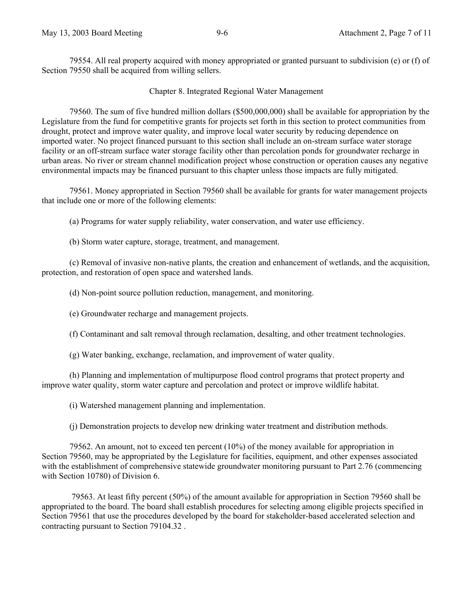79554. All real property acquired with money appropriated or granted pursuant to subdivision (e) or (f) of Section 79550 shall be acquired from willing sellers.

#### Chapter 8. Integrated Regional Water Management

79560. The sum of five hundred million dollars (\$500,000,000) shall be available for appropriation by the Legislature from the fund for competitive grants for projects set forth in this section to protect communities from drought, protect and improve water quality, and improve local water security by reducing dependence on imported water. No project financed pursuant to this section shall include an on-stream surface water storage facility or an off-stream surface water storage facility other than percolation ponds for groundwater recharge in urban areas. No river or stream channel modification project whose construction or operation causes any negative environmental impacts may be financed pursuant to this chapter unless those impacts are fully mitigated.

79561. Money appropriated in Section 79560 shall be available for grants for water management projects that include one or more of the following elements:

(a) Programs for water supply reliability, water conservation, and water use efficiency.

(b) Storm water capture, storage, treatment, and management.

(c) Removal of invasive non-native plants, the creation and enhancement of wetlands, and the acquisition, protection, and restoration of open space and watershed lands.

(d) Non-point source pollution reduction, management, and monitoring.

(e) Groundwater recharge and management projects.

(f) Contaminant and salt removal through reclamation, desalting, and other treatment technologies.

(g) Water banking, exchange, reclamation, and improvement of water quality.

(h) Planning and implementation of multipurpose flood control programs that protect property and improve water quality, storm water capture and percolation and protect or improve wildlife habitat.

(i) Watershed management planning and implementation.

(j) Demonstration projects to develop new drinking water treatment and distribution methods.

79562. An amount, not to exceed ten percent (10%) of the money available for appropriation in Section 79560, may be appropriated by the Legislature for facilities, equipment, and other expenses associated with the establishment of comprehensive statewide groundwater monitoring pursuant to Part 2.76 (commencing with Section 10780) of Division 6.

 79563. At least fifty percent (50%) of the amount available for appropriation in Section 79560 shall be appropriated to the board. The board shall establish procedures for selecting among eligible projects specified in Section 79561 that use the procedures developed by the board for stakeholder-based accelerated selection and contracting pursuant to Section 79104.32 .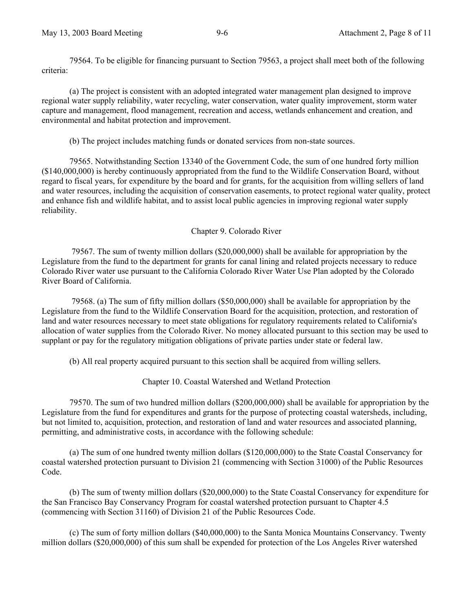79564. To be eligible for financing pursuant to Section 79563, a project shall meet both of the following criteria:

(a) The project is consistent with an adopted integrated water management plan designed to improve regional water supply reliability, water recycling, water conservation, water quality improvement, storm water capture and management, flood management, recreation and access, wetlands enhancement and creation, and environmental and habitat protection and improvement.

(b) The project includes matching funds or donated services from non-state sources.

79565. Notwithstanding Section 13340 of the Government Code, the sum of one hundred forty million (\$140,000,000) is hereby continuously appropriated from the fund to the Wildlife Conservation Board, without regard to fiscal years, for expenditure by the board and for grants, for the acquisition from willing sellers of land and water resources, including the acquisition of conservation easements, to protect regional water quality, protect and enhance fish and wildlife habitat, and to assist local public agencies in improving regional water supply reliability.

## Chapter 9. Colorado River

 79567. The sum of twenty million dollars (\$20,000,000) shall be available for appropriation by the Legislature from the fund to the department for grants for canal lining and related projects necessary to reduce Colorado River water use pursuant to the California Colorado River Water Use Plan adopted by the Colorado River Board of California.

 79568. (a) The sum of fifty million dollars (\$50,000,000) shall be available for appropriation by the Legislature from the fund to the Wildlife Conservation Board for the acquisition, protection, and restoration of land and water resources necessary to meet state obligations for regulatory requirements related to California's allocation of water supplies from the Colorado River. No money allocated pursuant to this section may be used to supplant or pay for the regulatory mitigation obligations of private parties under state or federal law.

(b) All real property acquired pursuant to this section shall be acquired from willing sellers.

Chapter 10. Coastal Watershed and Wetland Protection

79570. The sum of two hundred million dollars (\$200,000,000) shall be available for appropriation by the Legislature from the fund for expenditures and grants for the purpose of protecting coastal watersheds, including, but not limited to, acquisition, protection, and restoration of land and water resources and associated planning, permitting, and administrative costs, in accordance with the following schedule:

(a) The sum of one hundred twenty million dollars (\$120,000,000) to the State Coastal Conservancy for coastal watershed protection pursuant to Division 21 (commencing with Section 31000) of the Public Resources Code.

(b) The sum of twenty million dollars (\$20,000,000) to the State Coastal Conservancy for expenditure for the San Francisco Bay Conservancy Program for coastal watershed protection pursuant to Chapter 4.5 (commencing with Section 31160) of Division 21 of the Public Resources Code.

(c) The sum of forty million dollars (\$40,000,000) to the Santa Monica Mountains Conservancy. Twenty million dollars (\$20,000,000) of this sum shall be expended for protection of the Los Angeles River watershed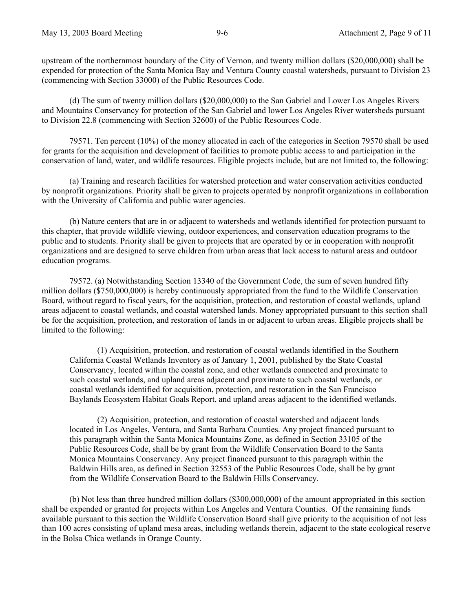upstream of the northernmost boundary of the City of Vernon, and twenty million dollars (\$20,000,000) shall be expended for protection of the Santa Monica Bay and Ventura County coastal watersheds, pursuant to Division 23 (commencing with Section 33000) of the Public Resources Code.

(d) The sum of twenty million dollars (\$20,000,000) to the San Gabriel and Lower Los Angeles Rivers and Mountains Conservancy for protection of the San Gabriel and lower Los Angeles River watersheds pursuant to Division 22.8 (commencing with Section 32600) of the Public Resources Code.

79571. Ten percent (10%) of the money allocated in each of the categories in Section 79570 shall be used for grants for the acquisition and development of facilities to promote public access to and participation in the conservation of land, water, and wildlife resources. Eligible projects include, but are not limited to, the following:

(a) Training and research facilities for watershed protection and water conservation activities conducted by nonprofit organizations. Priority shall be given to projects operated by nonprofit organizations in collaboration with the University of California and public water agencies.

(b) Nature centers that are in or adjacent to watersheds and wetlands identified for protection pursuant to this chapter, that provide wildlife viewing, outdoor experiences, and conservation education programs to the public and to students. Priority shall be given to projects that are operated by or in cooperation with nonprofit organizations and are designed to serve children from urban areas that lack access to natural areas and outdoor education programs.

79572. (a) Notwithstanding Section 13340 of the Government Code, the sum of seven hundred fifty million dollars (\$750,000,000) is hereby continuously appropriated from the fund to the Wildlife Conservation Board, without regard to fiscal years, for the acquisition, protection, and restoration of coastal wetlands, upland areas adjacent to coastal wetlands, and coastal watershed lands. Money appropriated pursuant to this section shall be for the acquisition, protection, and restoration of lands in or adjacent to urban areas. Eligible projects shall be limited to the following:

(1) Acquisition, protection, and restoration of coastal wetlands identified in the Southern California Coastal Wetlands Inventory as of January 1, 2001, published by the State Coastal Conservancy, located within the coastal zone, and other wetlands connected and proximate to such coastal wetlands, and upland areas adjacent and proximate to such coastal wetlands, or coastal wetlands identified for acquisition, protection, and restoration in the San Francisco Baylands Ecosystem Habitat Goals Report, and upland areas adjacent to the identified wetlands.

(2) Acquisition, protection, and restoration of coastal watershed and adjacent lands located in Los Angeles, Ventura, and Santa Barbara Counties. Any project financed pursuant to this paragraph within the Santa Monica Mountains Zone, as defined in Section 33105 of the Public Resources Code, shall be by grant from the Wildlife Conservation Board to the Santa Monica Mountains Conservancy. Any project financed pursuant to this paragraph within the Baldwin Hills area, as defined in Section 32553 of the Public Resources Code, shall be by grant from the Wildlife Conservation Board to the Baldwin Hills Conservancy.

(b) Not less than three hundred million dollars (\$300,000,000) of the amount appropriated in this section shall be expended or granted for projects within Los Angeles and Ventura Counties. Of the remaining funds available pursuant to this section the Wildlife Conservation Board shall give priority to the acquisition of not less than 100 acres consisting of upland mesa areas, including wetlands therein, adjacent to the state ecological reserve in the Bolsa Chica wetlands in Orange County.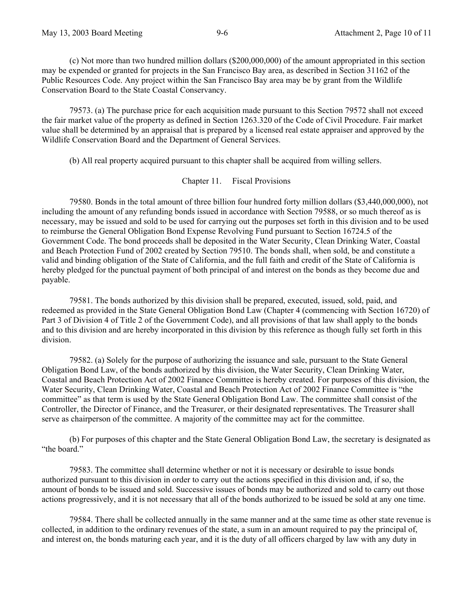(c) Not more than two hundred million dollars (\$200,000,000) of the amount appropriated in this section may be expended or granted for projects in the San Francisco Bay area, as described in Section 31162 of the Public Resources Code. Any project within the San Francisco Bay area may be by grant from the Wildlife Conservation Board to the State Coastal Conservancy.

79573. (a) The purchase price for each acquisition made pursuant to this Section 79572 shall not exceed the fair market value of the property as defined in Section 1263.320 of the Code of Civil Procedure. Fair market value shall be determined by an appraisal that is prepared by a licensed real estate appraiser and approved by the Wildlife Conservation Board and the Department of General Services.

(b) All real property acquired pursuant to this chapter shall be acquired from willing sellers.

#### Chapter 11. Fiscal Provisions

79580. Bonds in the total amount of three billion four hundred forty million dollars (\$3,440,000,000), not including the amount of any refunding bonds issued in accordance with Section 79588, or so much thereof as is necessary, may be issued and sold to be used for carrying out the purposes set forth in this division and to be used to reimburse the General Obligation Bond Expense Revolving Fund pursuant to Section 16724.5 of the Government Code. The bond proceeds shall be deposited in the Water Security, Clean Drinking Water, Coastal and Beach Protection Fund of 2002 created by Section 79510. The bonds shall, when sold, be and constitute a valid and binding obligation of the State of California, and the full faith and credit of the State of California is hereby pledged for the punctual payment of both principal of and interest on the bonds as they become due and payable.

79581. The bonds authorized by this division shall be prepared, executed, issued, sold, paid, and redeemed as provided in the State General Obligation Bond Law (Chapter 4 (commencing with Section 16720) of Part 3 of Division 4 of Title 2 of the Government Code), and all provisions of that law shall apply to the bonds and to this division and are hereby incorporated in this division by this reference as though fully set forth in this division.

79582. (a) Solely for the purpose of authorizing the issuance and sale, pursuant to the State General Obligation Bond Law, of the bonds authorized by this division, the Water Security, Clean Drinking Water, Coastal and Beach Protection Act of 2002 Finance Committee is hereby created. For purposes of this division, the Water Security, Clean Drinking Water, Coastal and Beach Protection Act of 2002 Finance Committee is "the committee" as that term is used by the State General Obligation Bond Law. The committee shall consist of the Controller, the Director of Finance, and the Treasurer, or their designated representatives. The Treasurer shall serve as chairperson of the committee. A majority of the committee may act for the committee.

(b) For purposes of this chapter and the State General Obligation Bond Law, the secretary is designated as "the board."

79583. The committee shall determine whether or not it is necessary or desirable to issue bonds authorized pursuant to this division in order to carry out the actions specified in this division and, if so, the amount of bonds to be issued and sold. Successive issues of bonds may be authorized and sold to carry out those actions progressively, and it is not necessary that all of the bonds authorized to be issued be sold at any one time.

79584. There shall be collected annually in the same manner and at the same time as other state revenue is collected, in addition to the ordinary revenues of the state, a sum in an amount required to pay the principal of, and interest on, the bonds maturing each year, and it is the duty of all officers charged by law with any duty in